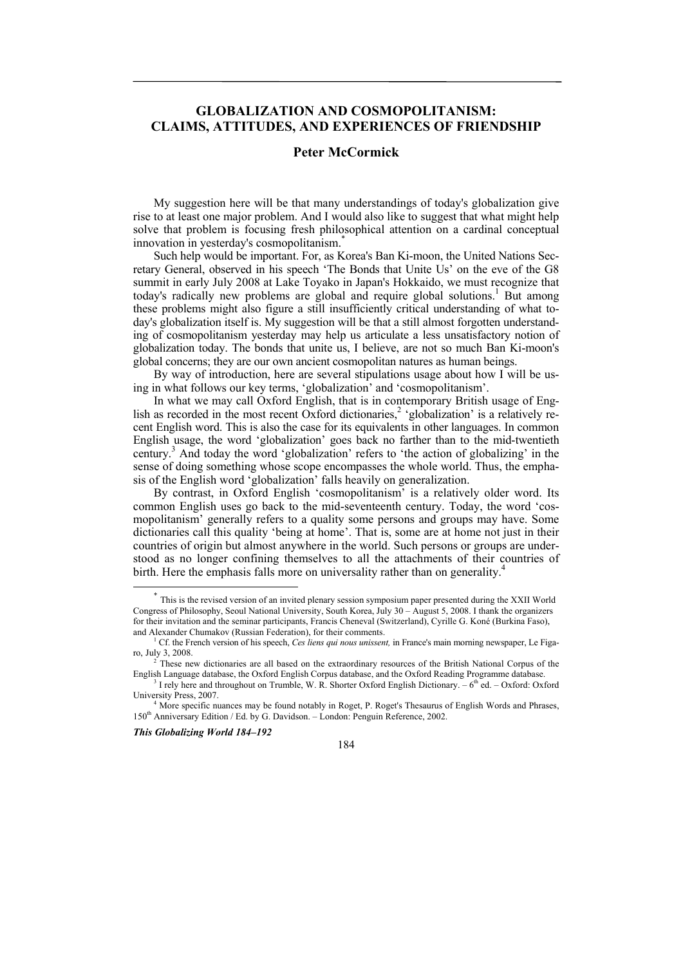# **GLOBALIZATION AND COSMOPOLITANISM: CLAIMS, ATTITUDES, AND EXPERIENCES OF FRIENDSHIP**

# **Peter McCormick**

My suggestion here will be that many understandings of today's globalization give rise to at least one major problem. And I would also like to suggest that what might help solve that problem is focusing fresh philosophical attention on a cardinal conceptual innovation in yesterday's cosmopolitanism.<sup>\*</sup>

Such help would be important. For, as Korea's Ban Ki-moon, the United Nations Secretary General, observed in his speech 'The Bonds that Unite Us' on the eve of the G8 summit in early July 2008 at Lake Toyako in Japan's Hokkaido, we must recognize that today's radically new problems are global and require global solutions.<sup>1</sup> But among these problems might also figure a still insufficiently critical understanding of what today's globalization itself is. My suggestion will be that a still almost forgotten understanding of cosmopolitanism yesterday may help us articulate a less unsatisfactory notion of globalization today. The bonds that unite us, I believe, are not so much Ban Ki-moon's global concerns; they are our own ancient cosmopolitan natures as human beings.

By way of introduction, here are several stipulations usage about how I will be using in what follows our key terms, 'globalization' and 'cosmopolitanism'.

In what we may call Oxford English, that is in contemporary British usage of English as recorded in the most recent Oxford dictionaries,<sup>2</sup> 'globalization' is a relatively recent English word. This is also the case for its equivalents in other languages. In common English usage, the word 'globalization' goes back no farther than to the mid-twentieth century.<sup>3</sup> And today the word 'globalization' refers to 'the action of globalizing' in the sense of doing something whose scope encompasses the whole world. Thus, the emphasis of the English word 'globalization' falls heavily on generalization.

By contrast, in Oxford English 'cosmopolitanism' is a relatively older word. Its common English uses go back to the mid-seventeenth century. Today, the word 'cosmopolitanism' generally refers to a quality some persons and groups may have. Some dictionaries call this quality 'being at home'. That is, some are at home not just in their countries of origin but almost anywhere in the world. Such persons or groups are understood as no longer confining themselves to all the attachments of their countries of birth. Here the emphasis falls more on universality rather than on generality.<sup>4</sup>

*This Globalizing World 184–192* 



This is the revised version of an invited plenary session symposium paper presented during the XXII World Congress of Philosophy, Seoul National University, South Korea, July 30 – August 5, 2008. I thank the organizers for their invitation and the seminar participants, Francis Cheneval (Switzerland), Cyrille G. Koné (Burkina Faso), and Alexander Chumakov (Russian Federation), for their comments.

<sup>&</sup>lt;sup>1</sup> Cf. the French version of his speech, *Ces liens qui nous unissent*, in France's main morning newspaper, Le Figaro, July 3, 2008. 2

These new dictionaries are all based on the extraordinary resources of the British National Corpus of the English Language database, the Oxford English Corpus database, and the Oxford Reading Programme database. 3

 $3$  I rely here and throughout on Trumble, W. R. Shorter Oxford English Dictionary.  $-6<sup>th</sup>$  ed.  $-$  Oxford: Oxford University Press, 2007. 4

<sup>&</sup>lt;sup>4</sup> More specific nuances may be found notably in Roget, P. Roget's Thesaurus of English Words and Phrases, 150th Anniversary Edition / Ed. by G. Davidson. – London: Penguin Reference, 2002.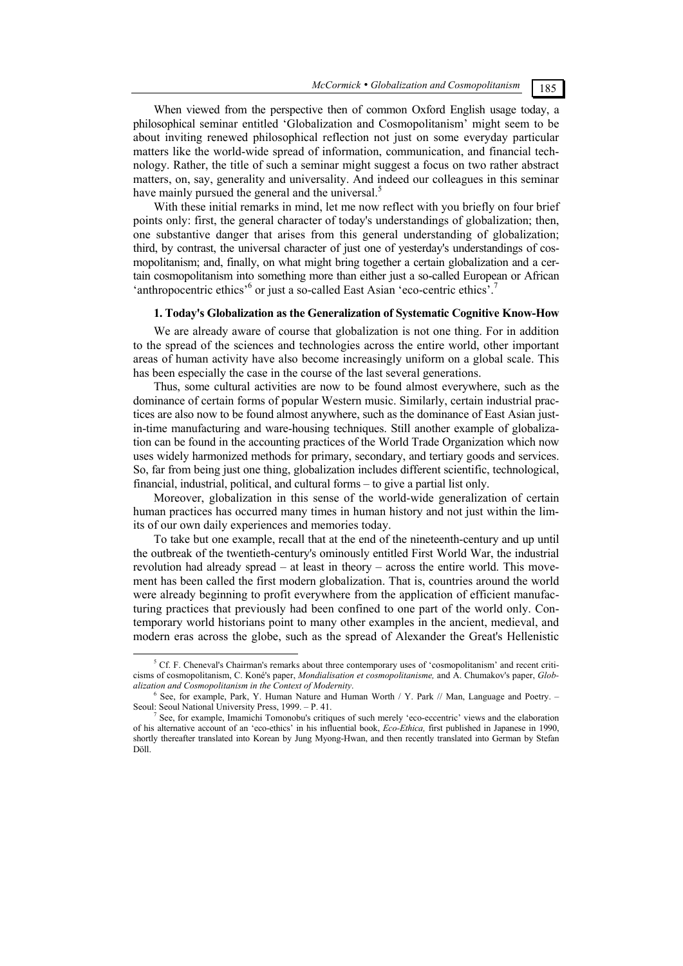### When viewed from the perspective then of common Oxford English usage today, a philosophical seminar entitled 'Globalization and Cosmopolitanism' might seem to be about inviting renewed philosophical reflection not just on some everyday particular matters like the world-wide spread of information, communication, and financial technology. Rather, the title of such a seminar might suggest a focus on two rather abstract matters, on, say, generality and universality. And indeed our colleagues in this seminar have mainly pursued the general and the universal.<sup>5</sup>

With these initial remarks in mind, let me now reflect with you briefly on four brief points only: first, the general character of today's understandings of globalization; then, one substantive danger that arises from this general understanding of globalization; third, by contrast, the universal character of just one of yesterday's understandings of cosmopolitanism; and, finally, on what might bring together a certain globalization and a certain cosmopolitanism into something more than either just a so-called European or African 'anthropocentric ethics'<sup>6</sup> or just a so-called East Asian 'eco-centric ethics'.<sup>7</sup>

#### **1. Today's Globalization as the Generalization of Systematic Cognitive Know-How**

We are already aware of course that globalization is not one thing. For in addition to the spread of the sciences and technologies across the entire world, other important areas of human activity have also become increasingly uniform on a global scale. This has been especially the case in the course of the last several generations.

Thus, some cultural activities are now to be found almost everywhere, such as the dominance of certain forms of popular Western music. Similarly, certain industrial practices are also now to be found almost anywhere, such as the dominance of East Asian justin-time manufacturing and ware-housing techniques. Still another example of globalization can be found in the accounting practices of the World Trade Organization which now uses widely harmonized methods for primary, secondary, and tertiary goods and services. So, far from being just one thing, globalization includes different scientific, technological, financial, industrial, political, and cultural forms – to give a partial list only.

Moreover, globalization in this sense of the world-wide generalization of certain human practices has occurred many times in human history and not just within the limits of our own daily experiences and memories today.

To take but one example, recall that at the end of the nineteenth-century and up until the outbreak of the twentieth-century's ominously entitled First World War, the industrial revolution had already spread – at least in theory – across the entire world. This movement has been called the first modern globalization. That is, countries around the world were already beginning to profit everywhere from the application of efficient manufacturing practices that previously had been confined to one part of the world only. Contemporary world historians point to many other examples in the ancient, medieval, and modern eras across the globe, such as the spread of Alexander the Great's Hellenistic

 $\frac{1}{5}$  ${}^5$  Cf. F. Cheneval's Chairman's remarks about three contemporary uses of 'cosmopolitanism' and recent criticisms of cosmopolitanism, C. Koné's paper, *Mondialisation et cosmopolitanisme,* and A. Chumakov's paper, *Globalization and Cosmopolitanism in the Context of Modernity*. 6

 $<sup>6</sup>$  See, for example, Park, Y. Human Nature and Human Worth / Y. Park // Man, Language and Poetry. –</sup> Seoul: Seoul National University Press, 1999. - P. 41.

See, for example, Imamichi Tomonobu's critiques of such merely 'eco-eccentric' views and the elaboration of his alternative account of an 'eco-ethics' in his influential book, *Eco-Ethica,* first published in Japanese in 1990, shortly thereafter translated into Korean by Jung Myong-Hwan, and then recently translated into German by Stefan Döll.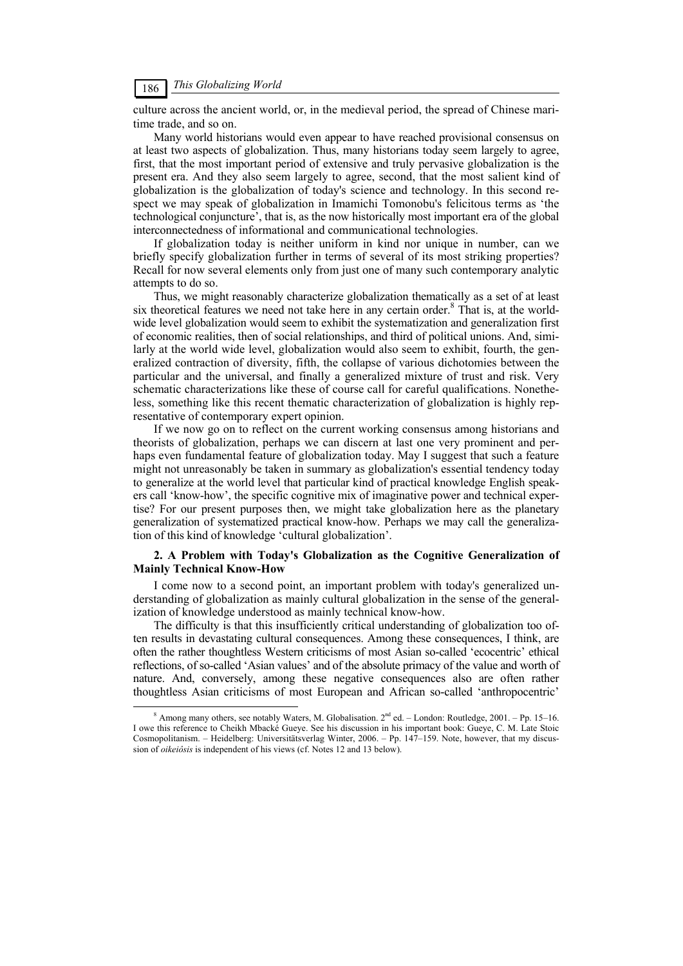culture across the ancient world, or, in the medieval period, the spread of Chinese maritime trade, and so on.

Many world historians would even appear to have reached provisional consensus on at least two aspects of globalization. Thus, many historians today seem largely to agree, first, that the most important period of extensive and truly pervasive globalization is the present era. And they also seem largely to agree, second, that the most salient kind of globalization is the globalization of today's science and technology. In this second respect we may speak of globalization in Imamichi Tomonobu's felicitous terms as 'the technological conjuncture', that is, as the now historically most important era of the global interconnectedness of informational and communicational technologies.

If globalization today is neither uniform in kind nor unique in number, can we briefly specify globalization further in terms of several of its most striking properties? Recall for now several elements only from just one of many such contemporary analytic attempts to do so.

Thus, we might reasonably characterize globalization thematically as a set of at least six theoretical features we need not take here in any certain order.<sup>8</sup> That is, at the worldwide level globalization would seem to exhibit the systematization and generalization first of economic realities, then of social relationships, and third of political unions. And, similarly at the world wide level, globalization would also seem to exhibit, fourth, the generalized contraction of diversity, fifth, the collapse of various dichotomies between the particular and the universal, and finally a generalized mixture of trust and risk. Very schematic characterizations like these of course call for careful qualifications. Nonetheless, something like this recent thematic characterization of globalization is highly representative of contemporary expert opinion.

If we now go on to reflect on the current working consensus among historians and theorists of globalization, perhaps we can discern at last one very prominent and perhaps even fundamental feature of globalization today. May I suggest that such a feature might not unreasonably be taken in summary as globalization's essential tendency today to generalize at the world level that particular kind of practical knowledge English speakers call 'know-how', the specific cognitive mix of imaginative power and technical expertise? For our present purposes then, we might take globalization here as the planetary generalization of systematized practical know-how. Perhaps we may call the generalization of this kind of knowledge 'cultural globalization'.

### **2. A Problem with Today's Globalization as the Cognitive Generalization of Mainly Technical Know-How**

I come now to a second point, an important problem with today's generalized understanding of globalization as mainly cultural globalization in the sense of the generalization of knowledge understood as mainly technical know-how.

The difficulty is that this insufficiently critical understanding of globalization too often results in devastating cultural consequences. Among these consequences, I think, are often the rather thoughtless Western criticisms of most Asian so-called 'ecocentric' ethical reflections, of so-called 'Asian values' and of the absolute primacy of the value and worth of nature. And, conversely, among these negative consequences also are often rather thoughtless Asian criticisms of most European and African so-called 'anthropocentric'

 $\frac{8}{3}$ <sup>8</sup> Among many others, see notably Waters, M. Globalisation. 2<sup>nd</sup> ed. - London: Routledge, 2001. - Pp. 15-16. I owe this reference to Cheikh Mbacké Gueye. See his discussion in his important book: Gueye, C. M. Late Stoic Cosmopolitanism. – Heidelberg: Universitätsverlag Winter, 2006. – Pp. 147–159. Note, however, that my discussion of *oikeiôsis* is independent of his views (cf. Notes 12 and 13 below).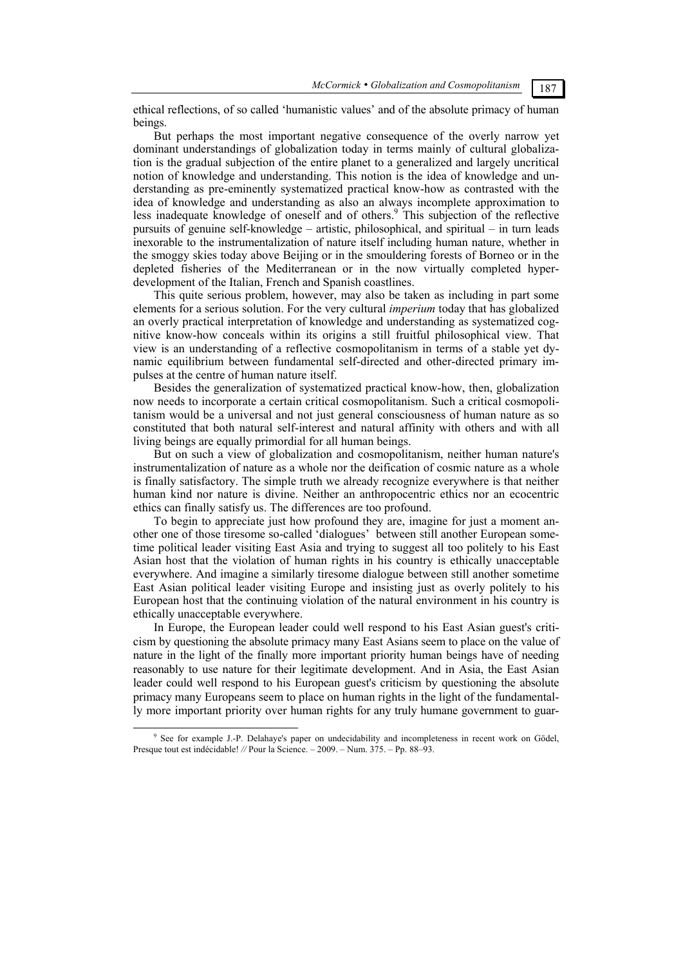ethical reflections, of so called 'humanistic values' and of the absolute primacy of human beings.

But perhaps the most important negative consequence of the overly narrow yet dominant understandings of globalization today in terms mainly of cultural globalization is the gradual subjection of the entire planet to a generalized and largely uncritical notion of knowledge and understanding. This notion is the idea of knowledge and understanding as pre-eminently systematized practical know-how as contrasted with the idea of knowledge and understanding as also an always incomplete approximation to less inadequate knowledge of oneself and of others.<sup>9</sup> This subjection of the reflective pursuits of genuine self-knowledge – artistic, philosophical, and spiritual – in turn leads inexorable to the instrumentalization of nature itself including human nature, whether in the smoggy skies today above Beijing or in the smouldering forests of Borneo or in the depleted fisheries of the Mediterranean or in the now virtually completed hyperdevelopment of the Italian, French and Spanish coastlines.

This quite serious problem, however, may also be taken as including in part some elements for a serious solution. For the very cultural *imperium* today that has globalized an overly practical interpretation of knowledge and understanding as systematized cognitive know-how conceals within its origins a still fruitful philosophical view. That view is an understanding of a reflective cosmopolitanism in terms of a stable yet dynamic equilibrium between fundamental self-directed and other-directed primary impulses at the centre of human nature itself.

Besides the generalization of systematized practical know-how, then, globalization now needs to incorporate a certain critical cosmopolitanism. Such a critical cosmopolitanism would be a universal and not just general consciousness of human nature as so constituted that both natural self-interest and natural affinity with others and with all living beings are equally primordial for all human beings.

But on such a view of globalization and cosmopolitanism, neither human nature's instrumentalization of nature as a whole nor the deification of cosmic nature as a whole is finally satisfactory. The simple truth we already recognize everywhere is that neither human kind nor nature is divine. Neither an anthropocentric ethics nor an ecocentric ethics can finally satisfy us. The differences are too profound.

To begin to appreciate just how profound they are, imagine for just a moment another one of those tiresome so-called 'dialogues' between still another European sometime political leader visiting East Asia and trying to suggest all too politely to his East Asian host that the violation of human rights in his country is ethically unacceptable everywhere. And imagine a similarly tiresome dialogue between still another sometime East Asian political leader visiting Europe and insisting just as overly politely to his European host that the continuing violation of the natural environment in his country is ethically unacceptable everywhere.

In Europe, the European leader could well respond to his East Asian guest's criticism by questioning the absolute primacy many East Asians seem to place on the value of nature in the light of the finally more important priority human beings have of needing reasonably to use nature for their legitimate development. And in Asia, the East Asian leader could well respond to his European guest's criticism by questioning the absolute primacy many Europeans seem to place on human rights in the light of the fundamentally more important priority over human rights for any truly humane government to guar-

 $\frac{1}{9}$ <sup>9</sup> See for example J.-P. Delahaye's paper on undecidability and incompleteness in recent work on Gödel, Presque tout est indécidable! *//* Pour la Science. – 2009. – Num. 375. – Pp. 88–93.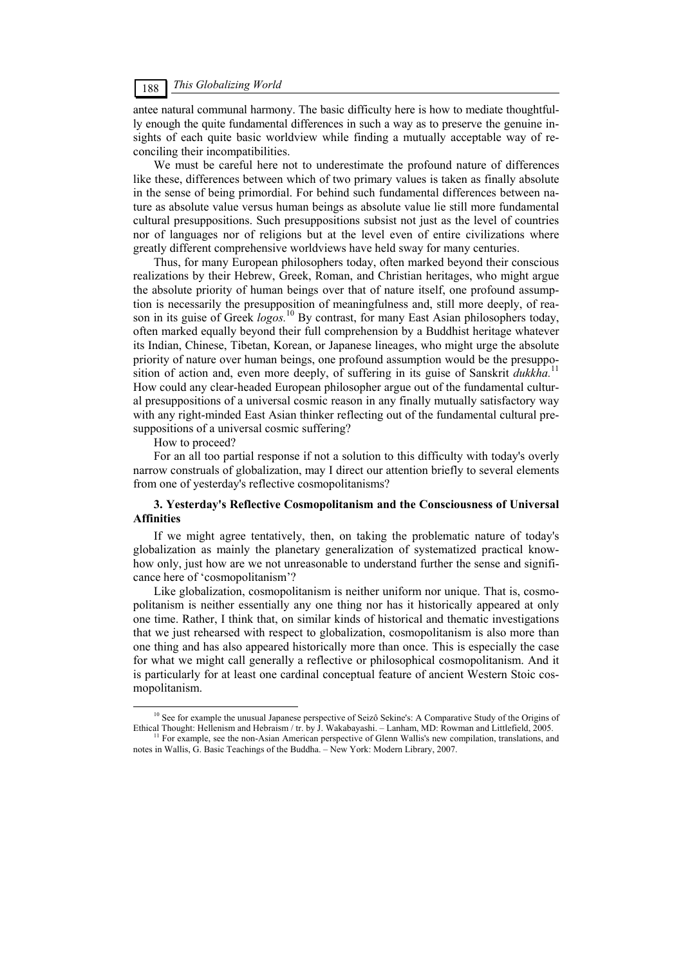## *This Globalizing World* 188

antee natural communal harmony. The basic difficulty here is how to mediate thoughtfully enough the quite fundamental differences in such a way as to preserve the genuine insights of each quite basic worldview while finding a mutually acceptable way of reconciling their incompatibilities.

We must be careful here not to underestimate the profound nature of differences like these, differences between which of two primary values is taken as finally absolute in the sense of being primordial. For behind such fundamental differences between nature as absolute value versus human beings as absolute value lie still more fundamental cultural presuppositions. Such presuppositions subsist not just as the level of countries nor of languages nor of religions but at the level even of entire civilizations where greatly different comprehensive worldviews have held sway for many centuries.

Thus, for many European philosophers today, often marked beyond their conscious realizations by their Hebrew, Greek, Roman, and Christian heritages, who might argue the absolute priority of human beings over that of nature itself, one profound assumption is necessarily the presupposition of meaningfulness and, still more deeply, of reason in its guise of Greek *logos.*<sup>10</sup> By contrast, for many East Asian philosophers today, often marked equally beyond their full comprehension by a Buddhist heritage whatever its Indian, Chinese, Tibetan, Korean, or Japanese lineages, who might urge the absolute priority of nature over human beings, one profound assumption would be the presupposition of action and, even more deeply, of suffering in its guise of Sanskrit *dukkha.*<sup>11</sup> How could any clear-headed European philosopher argue out of the fundamental cultural presuppositions of a universal cosmic reason in any finally mutually satisfactory way with any right-minded East Asian thinker reflecting out of the fundamental cultural presuppositions of a universal cosmic suffering?

How to proceed?

For an all too partial response if not a solution to this difficulty with today's overly narrow construals of globalization, may I direct our attention briefly to several elements from one of yesterday's reflective cosmopolitanisms?

### **3. Yesterday's Reflective Cosmopolitanism and the Consciousness of Universal Affinities**

If we might agree tentatively, then, on taking the problematic nature of today's globalization as mainly the planetary generalization of systematized practical knowhow only, just how are we not unreasonable to understand further the sense and significance here of 'cosmopolitanism'?

Like globalization, cosmopolitanism is neither uniform nor unique. That is, cosmopolitanism is neither essentially any one thing nor has it historically appeared at only one time. Rather, I think that, on similar kinds of historical and thematic investigations that we just rehearsed with respect to globalization, cosmopolitanism is also more than one thing and has also appeared historically more than once. This is especially the case for what we might call generally a reflective or philosophical cosmopolitanism. And it is particularly for at least one cardinal conceptual feature of ancient Western Stoic cosmopolitanism.

<sup>&</sup>lt;sup>10</sup> See for example the unusual Japanese perspective of Seizô Sekine's: A Comparative Study of the Origins of Ethical Thought: Hellenism and Hebraism / tr. by J. Wakabayashi. - Lanham, MD: Rowman and Littlefield, 2005.

<sup>&</sup>lt;sup>11</sup> For example, see the non-Asian American perspective of Glenn Wallis's new compilation, translations, and notes in Wallis, G. Basic Teachings of the Buddha. – New York: Modern Library, 2007.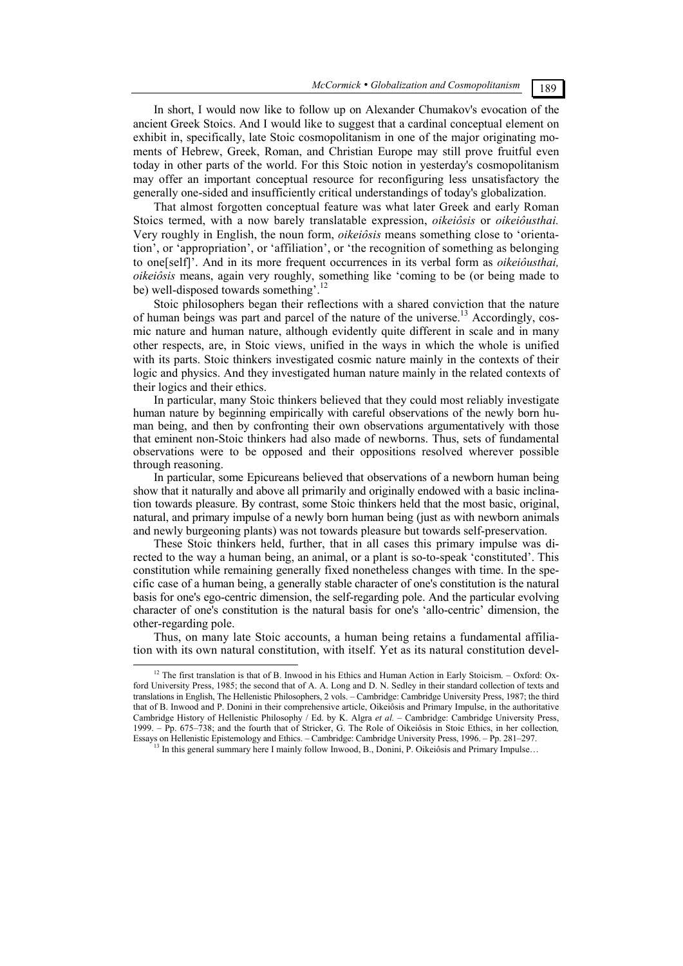In short, I would now like to follow up on Alexander Chumakov's evocation of the ancient Greek Stoics. And I would like to suggest that a cardinal conceptual element on exhibit in, specifically, late Stoic cosmopolitanism in one of the major originating moments of Hebrew, Greek, Roman, and Christian Europe may still prove fruitful even today in other parts of the world. For this Stoic notion in yesterday's cosmopolitanism may offer an important conceptual resource for reconfiguring less unsatisfactory the generally one-sided and insufficiently critical understandings of today's globalization.

That almost forgotten conceptual feature was what later Greek and early Roman Stoics termed, with a now barely translatable expression, *oikeiôsis* or *oikeiôusthai.*  Very roughly in English, the noun form, *oikeiôsis* means something close to 'orientation', or 'appropriation', or 'affiliation', or 'the recognition of something as belonging to one[self]'. And in its more frequent occurrences in its verbal form as *oikeiôusthai, oikeiôsis* means, again very roughly, something like 'coming to be (or being made to be) well-disposed towards something'.<sup>12</sup>

Stoic philosophers began their reflections with a shared conviction that the nature of human beings was part and parcel of the nature of the universe.<sup>13</sup> Accordingly, cosmic nature and human nature, although evidently quite different in scale and in many other respects, are, in Stoic views, unified in the ways in which the whole is unified with its parts. Stoic thinkers investigated cosmic nature mainly in the contexts of their logic and physics. And they investigated human nature mainly in the related contexts of their logics and their ethics.

In particular, many Stoic thinkers believed that they could most reliably investigate human nature by beginning empirically with careful observations of the newly born human being, and then by confronting their own observations argumentatively with those that eminent non-Stoic thinkers had also made of newborns. Thus, sets of fundamental observations were to be opposed and their oppositions resolved wherever possible through reasoning.

In particular, some Epicureans believed that observations of a newborn human being show that it naturally and above all primarily and originally endowed with a basic inclination towards pleasure. By contrast, some Stoic thinkers held that the most basic, original, natural, and primary impulse of a newly born human being (just as with newborn animals and newly burgeoning plants) was not towards pleasure but towards self-preservation.

These Stoic thinkers held, further, that in all cases this primary impulse was directed to the way a human being, an animal, or a plant is so-to-speak 'constituted'. This constitution while remaining generally fixed nonetheless changes with time. In the specific case of a human being, a generally stable character of one's constitution is the natural basis for one's ego-centric dimension, the self-regarding pole. And the particular evolving character of one's constitution is the natural basis for one's 'allo-centric' dimension, the other-regarding pole.

Thus, on many late Stoic accounts, a human being retains a fundamental affiliation with its own natural constitution, with itself. Yet as its natural constitution devel-

<sup>&</sup>lt;sup>12</sup> The first translation is that of B. Inwood in his Ethics and Human Action in Early Stoicism. – Oxford: Oxford University Press, 1985; the second that of A. A. Long and D. N. Sedley in their standard collection of texts and translations in English, The Hellenistic Philosophers, 2 vols. – Cambridge: Cambridge University Press, 1987; the third that of B. Inwood and P. Donini in their comprehensive article, Oikeiôsis and Primary Impulse, in the authoritative Cambridge History of Hellenistic Philosophy / Ed. by K. Algra *et al. –* Cambridge: Cambridge University Press, 1999. – Pp. 675–738; and the fourth that of Stricker, G. The Role of Oikeiôsis in Stoic Ethics, in her collection*,* 

<sup>&</sup>lt;sup>13</sup> In this general summary here I mainly follow Inwood, B., Donini, P. Oikeiôsis and Primary Impulse…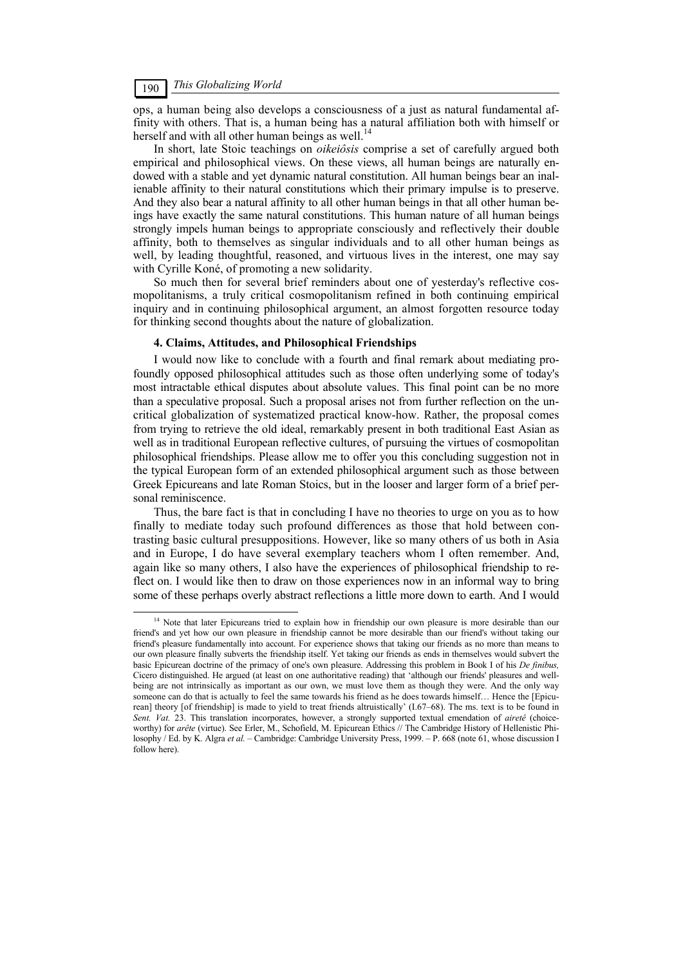ops, a human being also develops a consciousness of a just as natural fundamental affinity with others. That is, a human being has a natural affiliation both with himself or herself and with all other human beings as well.<sup>14</sup>

In short, late Stoic teachings on *oikeiôsis* comprise a set of carefully argued both empirical and philosophical views. On these views, all human beings are naturally endowed with a stable and yet dynamic natural constitution. All human beings bear an inalienable affinity to their natural constitutions which their primary impulse is to preserve. And they also bear a natural affinity to all other human beings in that all other human beings have exactly the same natural constitutions. This human nature of all human beings strongly impels human beings to appropriate consciously and reflectively their double affinity, both to themselves as singular individuals and to all other human beings as well, by leading thoughtful, reasoned, and virtuous lives in the interest, one may say with Cyrille Koné, of promoting a new solidarity.

So much then for several brief reminders about one of yesterday's reflective cosmopolitanisms, a truly critical cosmopolitanism refined in both continuing empirical inquiry and in continuing philosophical argument, an almost forgotten resource today for thinking second thoughts about the nature of globalization.

#### **4. Claims, Attitudes, and Philosophical Friendships**

I would now like to conclude with a fourth and final remark about mediating profoundly opposed philosophical attitudes such as those often underlying some of today's most intractable ethical disputes about absolute values. This final point can be no more than a speculative proposal. Such a proposal arises not from further reflection on the uncritical globalization of systematized practical know-how. Rather, the proposal comes from trying to retrieve the old ideal, remarkably present in both traditional East Asian as well as in traditional European reflective cultures, of pursuing the virtues of cosmopolitan philosophical friendships. Please allow me to offer you this concluding suggestion not in the typical European form of an extended philosophical argument such as those between Greek Epicureans and late Roman Stoics, but in the looser and larger form of a brief personal reminiscence.

Thus, the bare fact is that in concluding I have no theories to urge on you as to how finally to mediate today such profound differences as those that hold between contrasting basic cultural presuppositions. However, like so many others of us both in Asia and in Europe, I do have several exemplary teachers whom I often remember. And, again like so many others, I also have the experiences of philosophical friendship to reflect on. I would like then to draw on those experiences now in an informal way to bring some of these perhaps overly abstract reflections a little more down to earth. And I would

<sup>&</sup>lt;sup>14</sup> Note that later Epicureans tried to explain how in friendship our own pleasure is more desirable than our friend's and yet how our own pleasure in friendship cannot be more desirable than our friend's without taking our friend's pleasure fundamentally into account. For experience shows that taking our friends as no more than means to our own pleasure finally subverts the friendship itself. Yet taking our friends as ends in themselves would subvert the basic Epicurean doctrine of the primacy of one's own pleasure. Addressing this problem in Book I of his *De finibus,*  Cicero distinguished. He argued (at least on one authoritative reading) that 'although our friends' pleasures and wellbeing are not intrinsically as important as our own, we must love them as though they were. And the only way someone can do that is actually to feel the same towards his friend as he does towards himself... Hence the [Epicurean] theory [of friendship] is made to yield to treat friends altruistically' (I.67–68). The ms. text is to be found in *Sent. Vat.* 23. This translation incorporates, however, a strongly supported textual emendation of *airetê* (choiceworthy) for *arête* (virtue). See Erler, M., Schofield, M. Epicurean Ethics // The Cambridge History of Hellenistic Philosophy / Ed. by K. Algra *et al.* – Cambridge: Cambridge University Press, 1999. – P. 668 (note 61, whose discussion I follow here).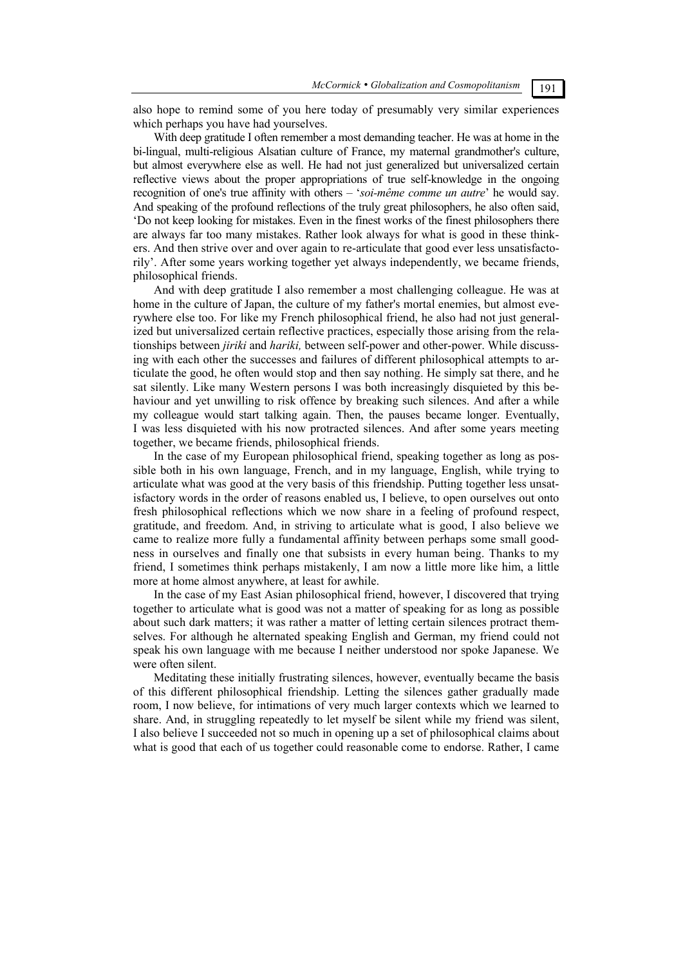also hope to remind some of you here today of presumably very similar experiences which perhaps you have had yourselves.

With deep gratitude I often remember a most demanding teacher. He was at home in the bi-lingual, multi-religious Alsatian culture of France, my maternal grandmother's culture, but almost everywhere else as well. He had not just generalized but universalized certain reflective views about the proper appropriations of true self-knowledge in the ongoing recognition of one's true affinity with others – '*soi-même comme un autre*' he would say. And speaking of the profound reflections of the truly great philosophers, he also often said, 'Do not keep looking for mistakes. Even in the finest works of the finest philosophers there are always far too many mistakes. Rather look always for what is good in these thinkers. And then strive over and over again to re-articulate that good ever less unsatisfactorily'. After some years working together yet always independently, we became friends, philosophical friends.

And with deep gratitude I also remember a most challenging colleague. He was at home in the culture of Japan, the culture of my father's mortal enemies, but almost everywhere else too. For like my French philosophical friend, he also had not just generalized but universalized certain reflective practices, especially those arising from the relationships between *jiriki* and *hariki,* between self-power and other-power. While discussing with each other the successes and failures of different philosophical attempts to articulate the good, he often would stop and then say nothing. He simply sat there, and he sat silently. Like many Western persons I was both increasingly disquieted by this behaviour and yet unwilling to risk offence by breaking such silences. And after a while my colleague would start talking again. Then, the pauses became longer. Eventually, I was less disquieted with his now protracted silences. And after some years meeting together, we became friends, philosophical friends.

In the case of my European philosophical friend, speaking together as long as possible both in his own language, French, and in my language, English, while trying to articulate what was good at the very basis of this friendship. Putting together less unsatisfactory words in the order of reasons enabled us, I believe, to open ourselves out onto fresh philosophical reflections which we now share in a feeling of profound respect, gratitude, and freedom. And, in striving to articulate what is good, I also believe we came to realize more fully a fundamental affinity between perhaps some small goodness in ourselves and finally one that subsists in every human being. Thanks to my friend, I sometimes think perhaps mistakenly, I am now a little more like him, a little more at home almost anywhere, at least for awhile.

In the case of my East Asian philosophical friend, however, I discovered that trying together to articulate what is good was not a matter of speaking for as long as possible about such dark matters; it was rather a matter of letting certain silences protract themselves. For although he alternated speaking English and German, my friend could not speak his own language with me because I neither understood nor spoke Japanese. We were often silent.

Meditating these initially frustrating silences, however, eventually became the basis of this different philosophical friendship. Letting the silences gather gradually made room, I now believe, for intimations of very much larger contexts which we learned to share. And, in struggling repeatedly to let myself be silent while my friend was silent, I also believe I succeeded not so much in opening up a set of philosophical claims about what is good that each of us together could reasonable come to endorse. Rather, I came